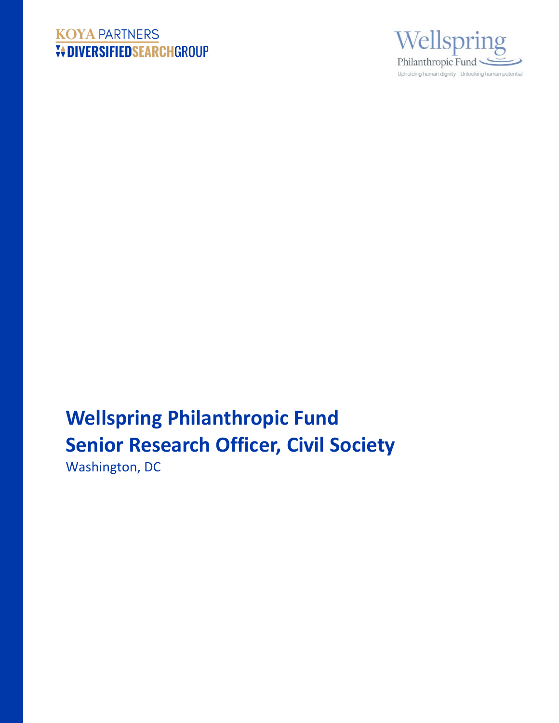# **KOYA PARTNERS V+DIVERSIFIEDSEARCHGROUP**



# **Wellspring Philanthropic Fund Senior Research Officer, Civil Society**

Washington, DC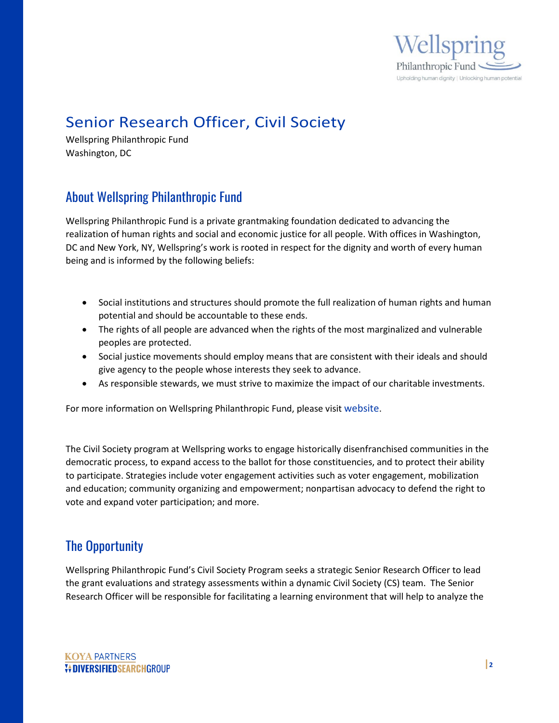

# Senior Research Officer, Civil Society

Wellspring Philanthropic Fund Washington, DC

# About Wellspring Philanthropic Fund

Wellspring Philanthropic Fund is a private grantmaking foundation dedicated to advancing the realization of human rights and social and economic justice for all people. With offices in Washington, DC and New York, NY, Wellspring's work is rooted in respect for the dignity and worth of every human being and is informed by the following beliefs:

- Social institutions and structures should promote the full realization of human rights and human potential and should be accountable to these ends.
- The rights of all people are advanced when the rights of the most marginalized and vulnerable peoples are protected.
- Social justice movements should employ means that are consistent with their ideals and should give agency to the people whose interests they seek to advance.
- As responsible stewards, we must strive to maximize the impact of our charitable investments.

For more information on Wellspring Philanthropic Fund, please visit [website.](https://wpfund.org/)

The Civil Society program at Wellspring works to engage historically disenfranchised communities in the democratic process, to expand access to the ballot for those constituencies, and to protect their ability to participate. Strategies include voter engagement activities such as voter engagement, mobilization and education; community organizing and empowerment; nonpartisan advocacy to defend the right to vote and expand voter participation; and more.

# The Opportunity

Wellspring Philanthropic Fund's Civil Society Program seeks a strategic Senior Research Officer to lead the grant evaluations and strategy assessments within a dynamic Civil Society (CS) team. The Senior Research Officer will be responsible for facilitating a learning environment that will help to analyze the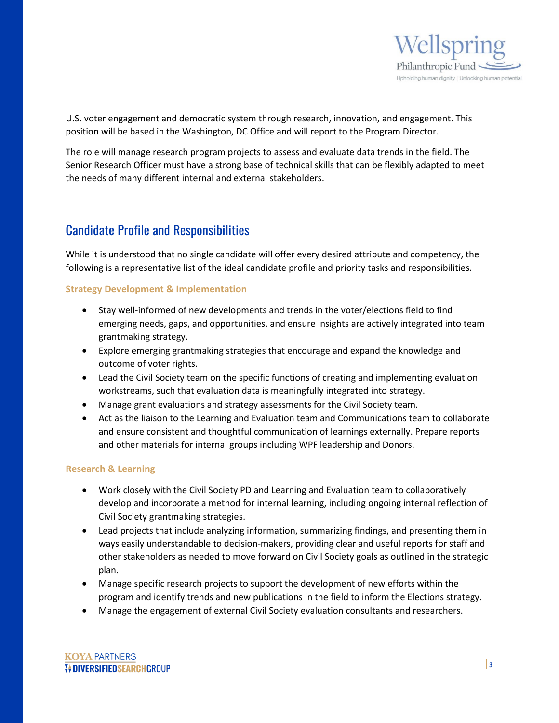

U.S. voter engagement and democratic system through research, innovation, and engagement. This position will be based in the Washington, DC Office and will report to the Program Director.

The role will manage research program projects to assess and evaluate data trends in the field. The Senior Research Officer must have a strong base of technical skills that can be flexibly adapted to meet the needs of many different internal and external stakeholders.

# Candidate Profile and Responsibilities

While it is understood that no single candidate will offer every desired attribute and competency, the following is a representative list of the ideal candidate profile and priority tasks and responsibilities.

#### **Strategy Development & Implementation**

- Stay well-informed of new developments and trends in the voter/elections field to find emerging needs, gaps, and opportunities, and ensure insights are actively integrated into team grantmaking strategy.
- Explore emerging grantmaking strategies that encourage and expand the knowledge and outcome of voter rights.
- Lead the Civil Society team on the specific functions of creating and implementing evaluation workstreams, such that evaluation data is meaningfully integrated into strategy.
- Manage grant evaluations and strategy assessments for the Civil Society team.
- Act as the liaison to the Learning and Evaluation team and Communications team to collaborate and ensure consistent and thoughtful communication of learnings externally. Prepare reports and other materials for internal groups including WPF leadership and Donors.

#### **Research & Learning**

- Work closely with the Civil Society PD and Learning and Evaluation team to collaboratively develop and incorporate a method for internal learning, including ongoing internal reflection of Civil Society grantmaking strategies.
- Lead projects that include analyzing information, summarizing findings, and presenting them in ways easily understandable to decision-makers, providing clear and useful reports for staff and other stakeholders as needed to move forward on Civil Society goals as outlined in the strategic plan.
- Manage specific research projects to support the development of new efforts within the program and identify trends and new publications in the field to inform the Elections strategy.
- Manage the engagement of external Civil Society evaluation consultants and researchers.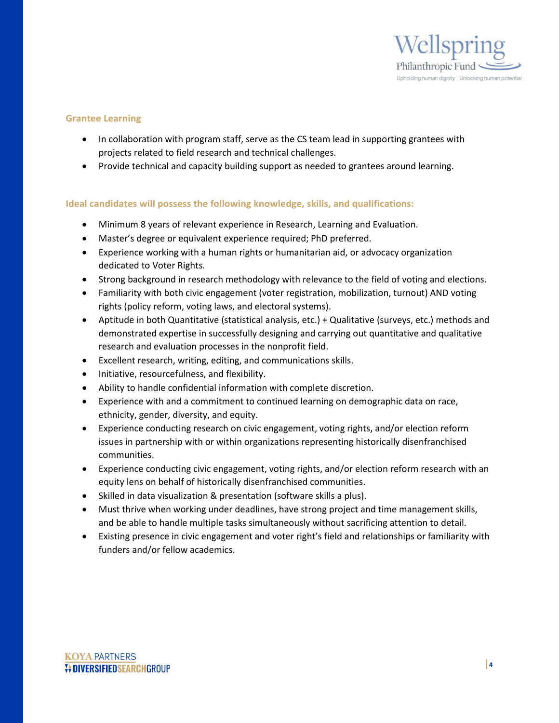

#### **Grantee Learning**

- In collaboration with program staff, serve as the CS team lead in supporting grantees with projects related to field research and technical challenges.
- Provide technical and capacity building support as needed to grantees around learning.

#### **Ideal candidates will possess the following knowledge, skills, and qualifications:**

- Minimum 8 years of relevant experience in Research, Learning and Evaluation.
- Master's degree or equivalent experience required; PhD preferred.
- Experience working with a human rights or humanitarian aid, or advocacy organization dedicated to Voter Rights.
- Strong background in research methodology with relevance to the field of voting and elections.
- Familiarity with both civic engagement (voter registration, mobilization, turnout) AND voting rights (policy reform, voting laws, and electoral systems).
- Aptitude in both Quantitative (statistical analysis, etc.) + Qualitative (surveys, etc.) methods and demonstrated expertise in successfully designing and carrying out quantitative and qualitative research and evaluation processes in the nonprofit field.
- Excellent research, writing, editing, and communications skills.
- Initiative, resourcefulness, and flexibility.
- Ability to handle confidential information with complete discretion.
- Experience with and a commitment to continued learning on demographic data on race, ethnicity, gender, diversity, and equity.
- Experience conducting research on civic engagement, voting rights, and/or election reform issues in partnership with or within organizations representing historically disenfranchised communities.
- Experience conducting civic engagement, voting rights, and/or election reform research with an equity lens on behalf of historically disenfranchised communities.
- Skilled in data visualization & presentation (software skills a plus).
- Must thrive when working under deadlines, have strong project and time management skills, and be able to handle multiple tasks simultaneously without sacrificing attention to detail.
- Existing presence in civic engagement and voter right's field and relationships or familiarity with funders and/or fellow academics.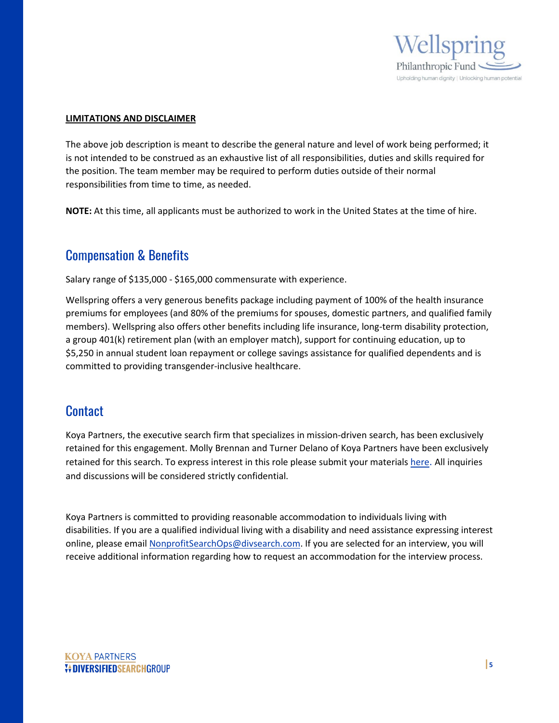

#### **LIMITATIONS AND DISCLAIMER**

The above job description is meant to describe the general nature and level of work being performed; it is not intended to be construed as an exhaustive list of all responsibilities, duties and skills required for the position. The team member may be required to perform duties outside of their normal responsibilities from time to time, as needed.

**NOTE:** At this time, all applicants must be authorized to work in the United States at the time of hire.

## Compensation & Benefits

Salary range of \$135,000 - \$165,000 commensurate with experience.

Wellspring offers a very generous benefits package including payment of 100% of the health insurance premiums for employees (and 80% of the premiums for spouses, domestic partners, and qualified family members). Wellspring also offers other benefits including life insurance, long-term disability protection, a group 401(k) retirement plan (with an employer match), support for continuing education, up to \$5,250 in annual student loan repayment or college savings assistance for qualified dependents and is committed to providing transgender-inclusive healthcare.

### **Contact**

Koya Partners, the executive search firm that specializes in mission-driven search, has been exclusively retained for this engagement. Molly Brennan and Turner Delano of Koya Partners have been exclusively retained for this search. To express interest in this role please submit your materials [here.](https://talent-profile.diversifiedsearchgroup.com/search/v2/18221) All inquiries and discussions will be considered strictly confidential.

Koya Partners is committed to providing reasonable accommodation to individuals living with disabilities. If you are a qualified individual living with a disability and need assistance expressing interest online, please emai[l NonprofitSearchOps@divsearch.com.](mailto:NonprofitSearchOps@divsearch.com) If you are selected for an interview, you will receive additional information regarding how to request an accommodation for the interview process.